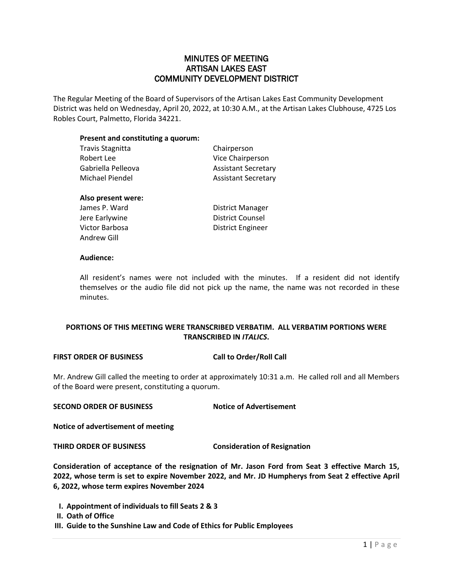# MINUTES OF MEETING ARTISAN LAKES EAST COMMUNITY DEVELOPMENT DISTRICT

The Regular Meeting of the Board of Supervisors of the Artisan Lakes East Community Development District was held on Wednesday, April 20, 2022, at 10:30 A.M., at the Artisan Lakes Clubhouse, 4725 Los Robles Court, Palmetto, Florida 34221.

## **Present and constituting a quorum:**

| Travis Stagnitta   | Chairperson                |
|--------------------|----------------------------|
| Robert Lee         | Vice Chairperson           |
| Gabriella Pelleova | <b>Assistant Secretary</b> |
| Michael Piendel    | <b>Assistant Secretary</b> |
| Also present were: |                            |

| James P. Ward  | District Manager  |
|----------------|-------------------|
| Jere Earlywine | District Counsel  |
| Victor Barbosa | District Engineer |
| Andrew Gill    |                   |

## **Audience:**

All resident's names were not included with the minutes. If a resident did not identify themselves or the audio file did not pick up the name, the name was not recorded in these minutes.

# **PORTIONS OF THIS MEETING WERE TRANSCRIBED VERBATIM. ALL VERBATIM PORTIONS WERE TRANSCRIBED IN** *ITALICS***.**

#### **FIRST ORDER OF BUSINESS Call to Order/Roll Call**

Mr. Andrew Gill called the meeting to order at approximately 10:31 a.m. He called roll and all Members of the Board were present, constituting a quorum.

# **SECOND ORDER OF BUSINESS Notice of Advertisement**

**Notice of advertisement of meeting**

```
THIRD ORDER OF BUSINESS Consideration of Resignation
```
**Consideration of acceptance of the resignation of Mr. Jason Ford from Seat 3 effective March 15, 2022, whose term is set to expire November 2022, and Mr. JD Humpherys from Seat 2 effective April 6, 2022, whose term expires November 2024**

- **I. Appointment of individuals to fill Seats 2 & 3**
- **II. Oath of Office**

**III. Guide to the Sunshine Law and Code of Ethics for Public Employees**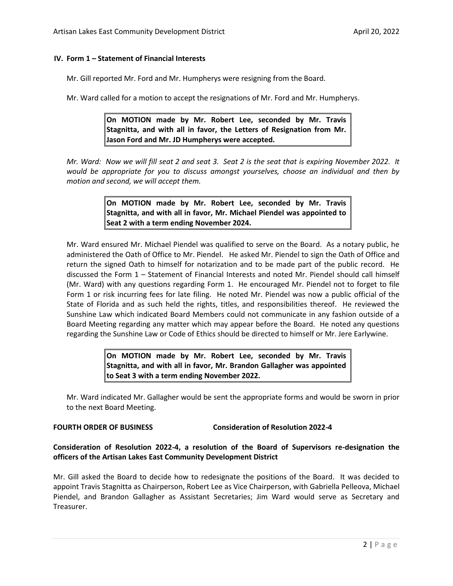## **IV. Form 1 – Statement of Financial Interests**

Mr. Gill reported Mr. Ford and Mr. Humpherys were resigning from the Board.

Mr. Ward called for a motion to accept the resignations of Mr. Ford and Mr. Humpherys.

**On MOTION made by Mr. Robert Lee, seconded by Mr. Travis Stagnitta, and with all in favor, the Letters of Resignation from Mr. Jason Ford and Mr. JD Humpherys were accepted.** 

*Mr. Ward: Now we will fill seat 2 and seat 3. Seat 2 is the seat that is expiring November 2022. It would be appropriate for you to discuss amongst yourselves, choose an individual and then by motion and second, we will accept them.* 

> **On MOTION made by Mr. Robert Lee, seconded by Mr. Travis Stagnitta, and with all in favor, Mr. Michael Piendel was appointed to Seat 2 with a term ending November 2024.**

Mr. Ward ensured Mr. Michael Piendel was qualified to serve on the Board. As a notary public, he administered the Oath of Office to Mr. Piendel. He asked Mr. Piendel to sign the Oath of Office and return the signed Oath to himself for notarization and to be made part of the public record. He discussed the Form 1 – Statement of Financial Interests and noted Mr. Piendel should call himself (Mr. Ward) with any questions regarding Form 1. He encouraged Mr. Piendel not to forget to file Form 1 or risk incurring fees for late filing. He noted Mr. Piendel was now a public official of the State of Florida and as such held the rights, titles, and responsibilities thereof. He reviewed the Sunshine Law which indicated Board Members could not communicate in any fashion outside of a Board Meeting regarding any matter which may appear before the Board. He noted any questions regarding the Sunshine Law or Code of Ethics should be directed to himself or Mr. Jere Earlywine.

> **On MOTION made by Mr. Robert Lee, seconded by Mr. Travis Stagnitta, and with all in favor, Mr. Brandon Gallagher was appointed to Seat 3 with a term ending November 2022.**

Mr. Ward indicated Mr. Gallagher would be sent the appropriate forms and would be sworn in prior to the next Board Meeting.

# **FOURTH ORDER OF BUSINESS Consideration of Resolution 2022-4**

# **Consideration of Resolution 2022-4, a resolution of the Board of Supervisors re-designation the officers of the Artisan Lakes East Community Development District**

Mr. Gill asked the Board to decide how to redesignate the positions of the Board. It was decided to appoint Travis Stagnitta as Chairperson, Robert Lee as Vice Chairperson, with Gabriella Pelleova, Michael Piendel, and Brandon Gallagher as Assistant Secretaries; Jim Ward would serve as Secretary and Treasurer.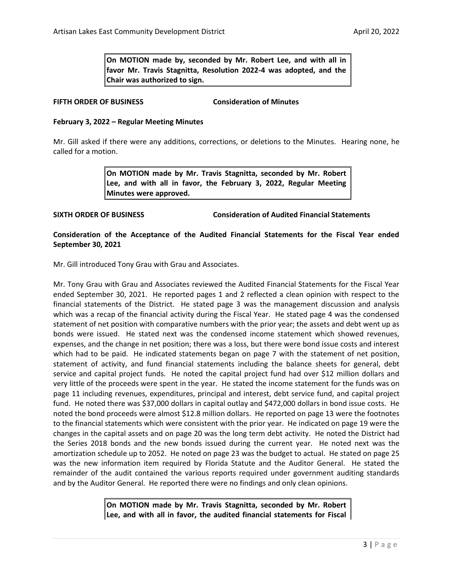**On MOTION made by, seconded by Mr. Robert Lee, and with all in favor Mr. Travis Stagnitta, Resolution 2022-4 was adopted, and the Chair was authorized to sign.** 

## **FIFTH ORDER OF BUSINESS Consideration of Minutes**

## **February 3, 2022 – Regular Meeting Minutes**

Mr. Gill asked if there were any additions, corrections, or deletions to the Minutes. Hearing none, he called for a motion.

> **On MOTION made by Mr. Travis Stagnitta, seconded by Mr. Robert Lee, and with all in favor, the February 3, 2022, Regular Meeting Minutes were approved.**

**SIXTH ORDER OF BUSINESS Consideration of Audited Financial Statements**

## **Consideration of the Acceptance of the Audited Financial Statements for the Fiscal Year ended September 30, 2021**

Mr. Gill introduced Tony Grau with Grau and Associates.

Mr. Tony Grau with Grau and Associates reviewed the Audited Financial Statements for the Fiscal Year ended September 30, 2021. He reported pages 1 and 2 reflected a clean opinion with respect to the financial statements of the District. He stated page 3 was the management discussion and analysis which was a recap of the financial activity during the Fiscal Year. He stated page 4 was the condensed statement of net position with comparative numbers with the prior year; the assets and debt went up as bonds were issued. He stated next was the condensed income statement which showed revenues, expenses, and the change in net position; there was a loss, but there were bond issue costs and interest which had to be paid. He indicated statements began on page 7 with the statement of net position, statement of activity, and fund financial statements including the balance sheets for general, debt service and capital project funds. He noted the capital project fund had over \$12 million dollars and very little of the proceeds were spent in the year. He stated the income statement for the funds was on page 11 including revenues, expenditures, principal and interest, debt service fund, and capital project fund. He noted there was \$37,000 dollars in capital outlay and \$472,000 dollars in bond issue costs. He noted the bond proceeds were almost \$12.8 million dollars. He reported on page 13 were the footnotes to the financial statements which were consistent with the prior year. He indicated on page 19 were the changes in the capital assets and on page 20 was the long term debt activity. He noted the District had the Series 2018 bonds and the new bonds issued during the current year. He noted next was the amortization schedule up to 2052. He noted on page 23 was the budget to actual. He stated on page 25 was the new information item required by Florida Statute and the Auditor General. He stated the remainder of the audit contained the various reports required under government auditing standards and by the Auditor General. He reported there were no findings and only clean opinions.

> **On MOTION made by Mr. Travis Stagnitta, seconded by Mr. Robert Lee, and with all in favor, the audited financial statements for Fiscal**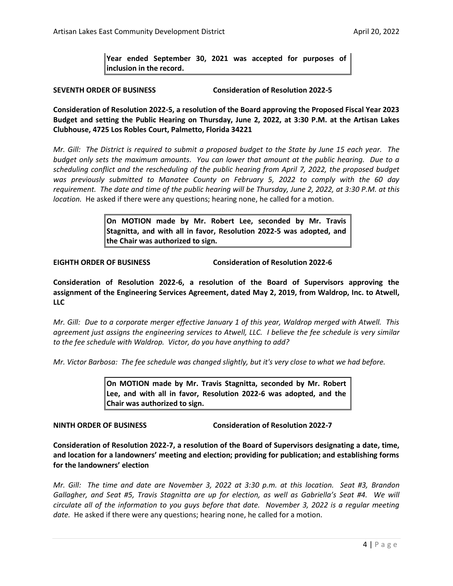**Year ended September 30, 2021 was accepted for purposes of inclusion in the record.** 

#### **SEVENTH ORDER OF BUSINESS Consideration of Resolution 2022-5**

**Consideration of Resolution 2022-5, a resolution of the Board approving the Proposed Fiscal Year 2023 Budget and setting the Public Hearing on Thursday, June 2, 2022, at 3:30 P.M. at the Artisan Lakes Clubhouse, 4725 Los Robles Court, Palmetto, Florida 34221**

*Mr. Gill: The District is required to submit a proposed budget to the State by June 15 each year. The budget only sets the maximum amounts. You can lower that amount at the public hearing. Due to a scheduling conflict and the rescheduling of the public hearing from April 7, 2022, the proposed budget was previously submitted to Manatee County on February 5, 2022 to comply with the 60 day requirement. The date and time of the public hearing will be Thursday, June 2, 2022, at 3:30 P.M. at this location.* He asked if there were any questions; hearing none, he called for a motion.

> **On MOTION made by Mr. Robert Lee, seconded by Mr. Travis Stagnitta, and with all in favor, Resolution 2022-5 was adopted, and the Chair was authorized to sign.**

**EIGHTH ORDER OF BUSINESS Consideration of Resolution 2022-6**

**Consideration of Resolution 2022-6, a resolution of the Board of Supervisors approving the assignment of the Engineering Services Agreement, dated May 2, 2019, from Waldrop, Inc. to Atwell, LLC**

*Mr. Gill: Due to a corporate merger effective January 1 of this year, Waldrop merged with Atwell. This agreement just assigns the engineering services to Atwell, LLC. I believe the fee schedule is very similar to the fee schedule with Waldrop. Victor, do you have anything to add?*

*Mr. Victor Barbosa: The fee schedule was changed slightly, but it's very close to what we had before.* 

**On MOTION made by Mr. Travis Stagnitta, seconded by Mr. Robert Lee, and with all in favor, Resolution 2022-6 was adopted, and the Chair was authorized to sign.** 

**NINTH ORDER OF BUSINESS Consideration of Resolution 2022-7**

**Consideration of Resolution 2022-7, a resolution of the Board of Supervisors designating a date, time, and location for a landowners' meeting and election; providing for publication; and establishing forms for the landowners' election**

*Mr. Gill: The time and date are November 3, 2022 at 3:30 p.m. at this location. Seat #3, Brandon Gallagher, and Seat #5, Travis Stagnitta are up for election, as well as Gabriella's Seat #4. We will circulate all of the information to you guys before that date. November 3, 2022 is a regular meeting date.* He asked if there were any questions; hearing none, he called for a motion.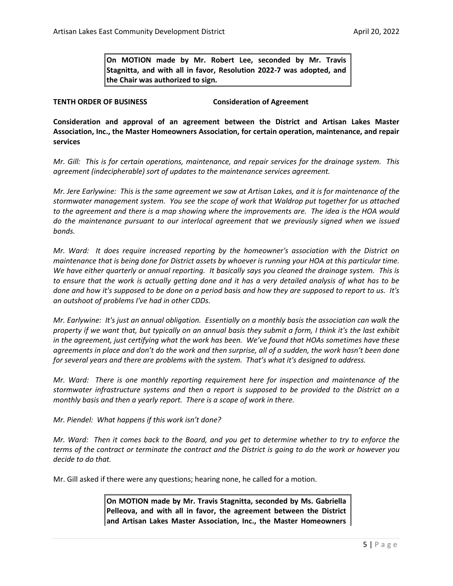**On MOTION made by Mr. Robert Lee, seconded by Mr. Travis Stagnitta, and with all in favor, Resolution 2022-7 was adopted, and the Chair was authorized to sign.** 

## **TENTH ORDER OF BUSINESS Consideration of Agreement**

**Consideration and approval of an agreement between the District and Artisan Lakes Master Association, Inc., the Master Homeowners Association, for certain operation, maintenance, and repair services**

*Mr. Gill: This is for certain operations, maintenance, and repair services for the drainage system. This agreement (indecipherable) sort of updates to the maintenance services agreement.*

*Mr. Jere Earlywine: This is the same agreement we saw at Artisan Lakes, and it is for maintenance of the stormwater management system. You see the scope of work that Waldrop put together for us attached to the agreement and there is a map showing where the improvements are. The idea is the HOA would do the maintenance pursuant to our interlocal agreement that we previously signed when we issued bonds.* 

*Mr. Ward: It does require increased reporting by the homeowner's association with the District on maintenance that is being done for District assets by whoever is running your HOA at this particular time. We have either quarterly or annual reporting. It basically says you cleaned the drainage system. This is to ensure that the work is actually getting done and it has a very detailed analysis of what has to be done and how it's supposed to be done on a period basis and how they are supposed to report to us. It's an outshoot of problems I've had in other CDDs.* 

*Mr. Earlywine: It's just an annual obligation. Essentially on a monthly basis the association can walk the property if we want that, but typically on an annual basis they submit a form, I think it's the last exhibit in the agreement, just certifying what the work has been. We've found that HOAs sometimes have these agreements in place and don't do the work and then surprise, all of a sudden, the work hasn't been done for several years and there are problems with the system. That's what it's designed to address.* 

*Mr. Ward: There is one monthly reporting requirement here for inspection and maintenance of the stormwater infrastructure systems and then a report is supposed to be provided to the District on a monthly basis and then a yearly report. There is a scope of work in there.* 

*Mr. Piendel: What happens if this work isn't done?*

*Mr. Ward: Then it comes back to the Board, and you get to determine whether to try to enforce the terms of the contract or terminate the contract and the District is going to do the work or however you decide to do that.* 

Mr. Gill asked if there were any questions; hearing none, he called for a motion.

**On MOTION made by Mr. Travis Stagnitta, seconded by Ms. Gabriella Pelleova, and with all in favor, the agreement between the District and Artisan Lakes Master Association, Inc., the Master Homeowners**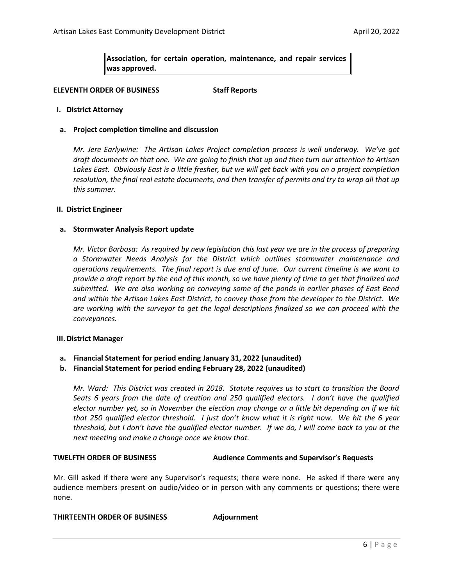**Association, for certain operation, maintenance, and repair services was approved.** 

## **ELEVENTH ORDER OF BUSINESS Staff Reports**

#### **I. District Attorney**

#### **a. Project completion timeline and discussion**

*Mr. Jere Earlywine: The Artisan Lakes Project completion process is well underway. We've got draft documents on that one. We are going to finish that up and then turn our attention to Artisan*  Lakes East. Obviously East is a little fresher, but we will get back with you on a project completion *resolution, the final real estate documents, and then transfer of permits and try to wrap all that up this summer.* 

#### **II. District Engineer**

#### **a. Stormwater Analysis Report update**

*Mr. Victor Barbosa: As required by new legislation this last year we are in the process of preparing a Stormwater Needs Analysis for the District which outlines stormwater maintenance and operations requirements. The final report is due end of June. Our current timeline is we want to provide a draft report by the end of this month, so we have plenty of time to get that finalized and submitted. We are also working on conveying some of the ponds in earlier phases of East Bend and within the Artisan Lakes East District, to convey those from the developer to the District. We are working with the surveyor to get the legal descriptions finalized so we can proceed with the conveyances.* 

#### **III.District Manager**

## **a. Financial Statement for period ending January 31, 2022 (unaudited)**

**b. Financial Statement for period ending February 28, 2022 (unaudited)**

*Mr. Ward: This District was created in 2018. Statute requires us to start to transition the Board Seats 6 years from the date of creation and 250 qualified electors. I don't have the qualified elector number yet, so in November the election may change or a little bit depending on if we hit that 250 qualified elector threshold. I just don't know what it is right now. We hit the 6 year threshold, but I don't have the qualified elector number. If we do, I will come back to you at the next meeting and make a change once we know that.*

## **TWELFTH ORDER OF BUSINESS Audience Comments and Supervisor's Requests**

Mr. Gill asked if there were any Supervisor's requests; there were none. He asked if there were any audience members present on audio/video or in person with any comments or questions; there were none.

## **THIRTEENTH ORDER OF BUSINESS Adjournment**